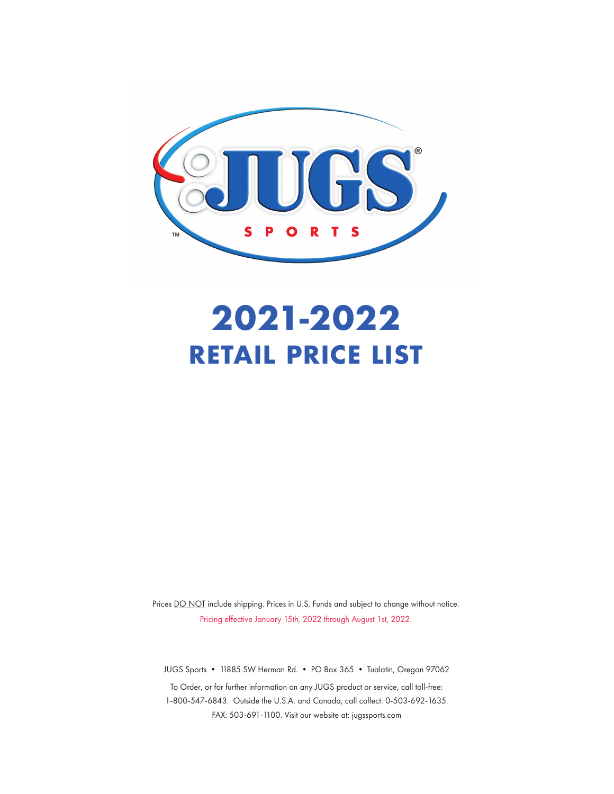

# **2021-2022 RETAIL PRICE LIST**

Prices DO NOT include shipping. Prices in U.S. Funds and subject to change without notice. Pricing effective January 15th, 2022 through August 1st, 2022.

JUGS Sports • 11885 SW Herman Rd. • PO Box 365 • Tualatin, Oregon 97062

To Order, or for further information on any JUGS product or service, call toll-free: 1-800-547-6843. Outside the U.S.A. and Canada, call collect: 0-503-692-1635. FAX: 503-691-1100. Visit our website at: jugssports.com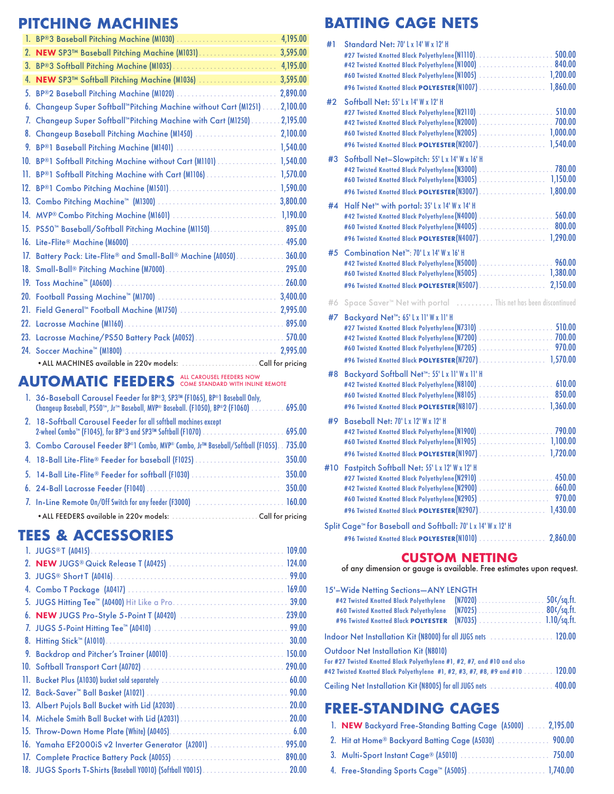# **PITCHING MACHINES**

|     |                                                                             | 4,195.00 |
|-----|-----------------------------------------------------------------------------|----------|
| 2.  | NEW SP3™ Baseball Pitching Machine (M1031)                                  | 3,595.00 |
| 3.  |                                                                             | 4,195.00 |
| 4.  | NEW SP3™ Softball Pitching Machine (M1036)                                  | 3,595.00 |
| 5.  | BP®2 Baseball Pitching Machine (M1020)                                      | 2,890.00 |
| 6.  | Changeup Super Softball <sup>**</sup> Pitching Machine without Cart (M1251) | 2,100.00 |
| 7.  | Changeup Super Softball <sup>"</sup> Pitching Machine with Cart (M1250)     | 2,195.00 |
| 8.  | Changeup Baseball Pitching Machine (M1450)                                  | 2,100.00 |
| 9.  |                                                                             | 1,540.00 |
| 10. | BP®1 Softball Pitching Machine without Cart (M1101)                         | 1,540.00 |
| 11. | BP®1 Softball Pitching Machine with Cart (M1106)                            | 1,570.00 |
| 12. |                                                                             | 1,590.00 |
| 13. |                                                                             | 3,800.00 |
|     |                                                                             | 1,190.00 |
|     | 15. PS50 <sup>™</sup> Baseball/Softball Pitching Machine (M1150) 895.00     |          |
|     |                                                                             |          |
|     | 17. Battery Pack: Lite-Flite® and Small-Ball® Machine (A0050) 360.00        |          |
|     |                                                                             | 295.00   |
|     |                                                                             | 260.00   |
|     |                                                                             | 3,400.00 |
| 21. | Field General™ Football Machine (MI750)                                     | 2,995.00 |
|     |                                                                             | 895.00   |
|     | 23. Lacrosse Machine/PS50 Battery Pack (A0052)  570.00                      |          |
|     |                                                                             | 2.995.00 |
|     |                                                                             |          |

#### AUTOMATIC FEEDERS ALL CAROUSEL FEEDERS NOW

| 1. 36-Baseball Carousel Feeder for BP®3, SP3™ (F1065), BP®1 Baseball Only,<br>Changeup Baseball, PS50™, Jr™ Baseball, MVP® Baseball. (F1050), BP®2 (F1060) 695.00 |        |
|-------------------------------------------------------------------------------------------------------------------------------------------------------------------|--------|
| 2. 18-Softball Carousel Feeder for all softball machines except                                                                                                   |        |
| 3. Combo Carousel Feeder BP®1 Combo, MVP® Combo, Jr™ Baseball/Softball (F1055). 735.00                                                                            |        |
| 4. 18-Ball Lite-Flite® Feeder for baseball (F1025)                                                                                                                | 350.00 |
|                                                                                                                                                                   |        |
|                                                                                                                                                                   |        |
|                                                                                                                                                                   |        |
|                                                                                                                                                                   |        |

# **TEES & ACCESSORIES**

| 109.00<br>99.00<br>169.00<br>39.00<br>239.00<br>99.00<br>30.00<br>150.00<br>60.00<br>20.00<br>13. Albert Pujols Ball Bucket with Lid (A2030)<br>20.00<br>14. Michele Smith Ball Bucket with Lid (A2031)<br>6.00<br>15. Throw-Down Home Plate (White) (A0405)<br>995.00<br>16. Yamaha EF2000iS v2 Inverter Generator (A2001)<br>890.00<br>18. JUGS Sports T-Shirts (Baseball Y0010) (Softball Y0015)<br>20.00 |
|--------------------------------------------------------------------------------------------------------------------------------------------------------------------------------------------------------------------------------------------------------------------------------------------------------------------------------------------------------------------------------------------------------------|

# **BATTING CAGE NETS**

| #1  | <b>Standard Net: 70' Lx 14' W x 12' H</b><br>#42 Twisted Knotted Black Polyethylene (N1000)  840.00<br>#60 Twisted Knotted Black Polyethylene(N1005)  1,200.00                                                         |
|-----|------------------------------------------------------------------------------------------------------------------------------------------------------------------------------------------------------------------------|
|     | #96 Twisted Knotted Black POLYESTER(N1007) 1,860.00                                                                                                                                                                    |
|     |                                                                                                                                                                                                                        |
| #2  | Softball Net: 55' L x 14' W x 12' H<br>#27 Twisted Knotted Black Polyethylene(N2110)  510.00<br>#60 Twisted Knotted Black Polyethylene(N2005) 1,000.00                                                                 |
|     | #96 Twisted Knotted Black POLYESTER(N2007) 1,540.00                                                                                                                                                                    |
| #3  | Softball Net-Slowpitch: 55' Lx 14' W x 16' H<br>#42 Twisted Knotted Black Polyethylene (N3000) 780.00<br>#60 Twisted Knotted Black Polyethylene(N3005) 1,150.00<br>#96 Twisted Knotted Black POLYESTER(N3007) 1,800.00 |
| #4  | Half Net <sup>™</sup> with portal: 35' Lx 14' W x 14' H                                                                                                                                                                |
|     | #60 Twisted Knotted Black Polyethylene (N4005) 800.00                                                                                                                                                                  |
|     | #96 Twisted Knotted Black POLYESTER(N4007) 1,290.00                                                                                                                                                                    |
| #5  | Combination Net <sup>™</sup> : 70'Lx 14'Wx 16'H                                                                                                                                                                        |
|     | #60 Twisted Knotted Black Polyethylene(N5005) 1,380.00                                                                                                                                                                 |
|     |                                                                                                                                                                                                                        |
| #6  | Space Saver <sup>™</sup> Net with portal  This net has been discontinued                                                                                                                                               |
| #7  | Backyard Net™: 65'Lx 11'W x 11'H                                                                                                                                                                                       |
|     |                                                                                                                                                                                                                        |
|     |                                                                                                                                                                                                                        |
|     | 970.00<br>#96 Twisted Knotted Black POLYESTER(N7207) 1,570.00                                                                                                                                                          |
|     |                                                                                                                                                                                                                        |
| #8  | Backyard Softball Net <sup>™</sup> : 55'Lx 11'Wx 11'H                                                                                                                                                                  |
|     |                                                                                                                                                                                                                        |
|     |                                                                                                                                                                                                                        |
| #9  | Baseball Net: 70' Lx 12' W x 12' H                                                                                                                                                                                     |
|     |                                                                                                                                                                                                                        |
|     |                                                                                                                                                                                                                        |
|     | #96 Twisted Knotted Black POLYESTER(N1907) 1,720.00                                                                                                                                                                    |
| #10 | Fastpitch Softball Net: 55' Lx 12' W x 12' H                                                                                                                                                                           |
|     | #60 Twisted Knotted Black Polyethylene (N2905) 970.00                                                                                                                                                                  |
|     | #96 Twisted Knotted Black POLYESTER(N2907)  1,430.00                                                                                                                                                                   |
|     | Split Cage™ for Baseball and Softball: 70'Lx 14' W x 12' H                                                                                                                                                             |
|     | #96 Twisted Knotted Black POLYESTER(N1010).<br>2,860.00<br>$\mathbb{R}$ . The set                                                                                                                                      |
|     | <b>CUSTOM NETTING</b>                                                                                                                                                                                                  |

of any dimension or gauge is available. Free estimates upon request.

| 15'-Wide Netting Sections-ANY LENGTH<br>#42 Twisted Knotted Black Polyethylene<br>#60 Twisted Knotted Black Polyethylene<br>#96 Twisted Knotted Black POLYESTER                                        | $(N7035)$ 1.10/sq.ft. | $50$ c/sq.ft. |
|--------------------------------------------------------------------------------------------------------------------------------------------------------------------------------------------------------|-----------------------|---------------|
| Indoor Net Installation Kit (N8000) for all JUGS nets  120.00                                                                                                                                          |                       |               |
| <b>Outdoor Net Installation Kit (N8010)</b><br>For #27 Twisted Knotted Black Polyethylene #1, #2, #7, and #10 and also<br>#42 Twisted Knotted Black Polyethylene #1, #2, #3, #7, #8, #9 and #10 120.00 |                       |               |
| Ceiling Net Installation Kit (N8005) for all JUGS nets  400.00                                                                                                                                         |                       |               |

# **FREE-STANDING CAGES**

| 1. NEW Backyard Free-Standing Batting Cage (A5000)  2,195.00 |
|--------------------------------------------------------------|
| 2. Hit at Home® Backyard Batting Cage (A5030)  900.00        |
|                                                              |
|                                                              |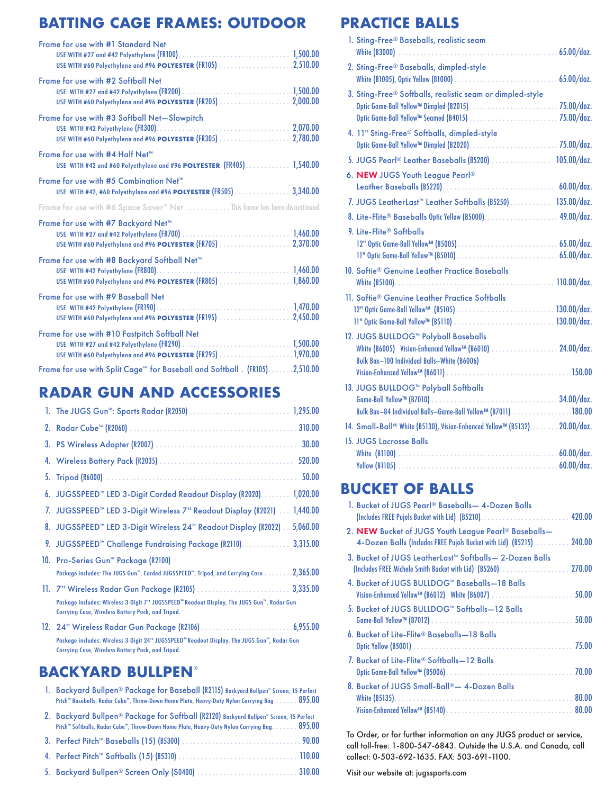# **BATTING CAGE FRAMES: OUTDOOR**

| Frame for use with #1 Standard Net<br>USE WITH #60 Polyethylene and #96 POLYESTER (FR105) 2,510.00            |
|---------------------------------------------------------------------------------------------------------------|
| Frame for use with #2 Softball Net<br>USE WITH #60 Polyethylene and #96 POLYESTER (FR205)  2,000.00           |
| Frame for use with #3 Softball Net-Slowpitch<br>USE WITH #60 Polyethylene and #96 POLYESTER (FR305)  2,780.00 |
| Frame for use with #4 Half Net™<br>USE WITH #42 and #60 Polyethylene and #96 POLYESTER (FR405) 1,540.00       |
| Frame for use with #5 Combination Net™<br>USE WITH #42, #60 Polyethylene and #96 POLYESTER (FR505) 3,340.00   |
| Frame for use with #6 Space Saver <sup>™</sup> Net This frame has been discontinued                           |
| Frame for use with #7 Backyard Net™                                                                           |
| Frame for use with #8 Backyard Softball Net™                                                                  |
| Frame for use with #9 Baseball Net<br>USE WITH #60 Polyethylene and #96 POLYESTER (FR195) 2,450.00            |
| Frame for use with #10 Fastpitch Softball Net                                                                 |
| Frame for use with Split Cage™ for Baseball and Softball . (FR105)2,510.00                                    |

### **RADAR GUN AND ACCESSORIES**

| 2. |                                                                                                                                                         |
|----|---------------------------------------------------------------------------------------------------------------------------------------------------------|
| 3. | 30.00                                                                                                                                                   |
| 4. | 520.00                                                                                                                                                  |
| 5. | 50.00                                                                                                                                                   |
|    | 6. JUGSSPEED™ LED 3-Digit Corded Readout Display (R2020) 1,020.00                                                                                       |
|    | 7. JUGSSPEED™ LED 3-Digit Wireless 7" Readout Display (R2021)  1,440.00                                                                                 |
| 8. | JUGSSPEED <sup>™</sup> LED 3-Digit Wireless 24" Readout Display (R2022) . 5,060.00                                                                      |
| 9. | JUGSSPEED <sup>™</sup> Challenge Fundraising Package (R2110)<br>3,315.00                                                                                |
|    | 10. Pro-Series Gun™ Package (R2100)                                                                                                                     |
|    | Package includes: The JUGS Gun™, Corded JUGSSPEED™, Tripod, and Carrying Case 2,365.00                                                                  |
|    | 11. 7" Wireless Radar Gun Package (R2105)  3,335.00                                                                                                     |
|    | Package includes: Wireless 3-Digit 7" JUGSSPEED" Readout Display, The JUGS Gun", Radar Gun<br><b>Carrying Case, Wireless Battery Pack, and Tripod.</b>  |
|    |                                                                                                                                                         |
|    | Package includes: Wireless 3-Digit 24" JUGSSPEED" Readout Display, The JUGS Gun", Radar Gun<br><b>Carrying Case, Wireless Battery Pack, and Tripod.</b> |

#### **BACKYARD BULLPEN**®  $1.$  Backyard Bulleplane for Baseball (R2115) Background Bulleplane for Bull (R2115)

| 1. Backyard Bullpen® Package for Baseball (R2115) Backyard Bullpen® Screen, 15 Perfect                                     |
|----------------------------------------------------------------------------------------------------------------------------|
| Pitch" Baseballs, Radar Cube", Throw-Down Home Plate, Heavy-Duty Nylon Carrying Bag 895.00                                 |
| 2. Backyard Bullpen® Package for Softball (R2120) Backyard Bullpen® Screen, 15 Perfect                                     |
| $P$ itch <sup>ne</sup> Softhalls, Radar Cube <sup>ne</sup> , Throw-Down Home Plate, Heavy-Duty Nylon Carrying Rag $895.00$ |

| <b>THEIR</b> JUINGING, RUGGI CODE, THIOW-DOWN HOME FRIG, HEAVY-DOIY RYIUH CUITYING DUG. 073.00 |  |
|------------------------------------------------------------------------------------------------|--|
|                                                                                                |  |
|                                                                                                |  |
|                                                                                                |  |

#### **PRACTICE BALLS**

| 1. Sting-Free® Baseballs, realistic seam                                                                                                                    |  |
|-------------------------------------------------------------------------------------------------------------------------------------------------------------|--|
| 2. Sting-Free® Baseballs, dimpled-style                                                                                                                     |  |
| 3. Sting-Free® Softballs, realistic seam or dimpled-style<br>Optic Game-Ball Yellow™ Dimpled (B2015)75.00/doz.                                              |  |
| 4. 11" Sting-Free® Softballs, dimpled-style                                                                                                                 |  |
| 5. JUGS Pearl® Leather Baseballs (B5200)  105.00/doz.                                                                                                       |  |
| 6. NEW JUGS Youth League Pearl®                                                                                                                             |  |
| 7. JUGS LeatherLast™ Leather Softballs (B5250)  135.00/doz.                                                                                                 |  |
|                                                                                                                                                             |  |
| 9. Lite-Flite® Softballs                                                                                                                                    |  |
| 10. Softie <sup>®</sup> Genuine Leather Practice Baseballs                                                                                                  |  |
| 11. Softie <sup>®</sup> Genuine Leather Practice Softballs                                                                                                  |  |
| 12. JUGS BULLDOG <sup>™</sup> Polyball Baseballs<br>White (B6005) Vision-Enhanced Yellow™ (B6010) 24.00/doz.<br>Bulk Box-100 Individual Balls-White (B6006) |  |
| 13. JUGS BULLDOG™ Polyball Softballs<br>Bulk Box-84 Individual Balls-Game-Ball Yellow™ (B7011)  180.00                                                      |  |
| 14. Small-Ball® White (B5130), Vision-Enhanced Yellow™ (B5132) 20.00/doz.                                                                                   |  |
| 15. JUGS Lacrosse Balls                                                                                                                                     |  |
|                                                                                                                                                             |  |

## **BUCKET OF BALLS**

| 1. Bucket of JUGS Pearl® Baseballs— 4-Dozen Balls                                                                                        |
|------------------------------------------------------------------------------------------------------------------------------------------|
| 2. NEW Bucket of JUGS Youth League Pearl <sup>®</sup> Baseballs-<br>4-Dozen Balls (Includes FREE Pujols Bucket with Lid) (B5215)  240.00 |
| 3. Bucket of JUGS LeatherLast™ Softballs— 2-Dozen Balls                                                                                  |
| 4. Bucket of JUGS BULLDOG <sup>™</sup> Baseballs-18 Balls<br>Vision-Enhanced Yellow™ (B6012) White (B6007)<br>50.00                      |
| 5. Bucket of JUGS BULLDOG™ Softballs—12 Balls<br>50.00                                                                                   |
| 6. Bucket of Lite-Flite® Baseballs-18 Balls                                                                                              |
| 7. Bucket of Lite-Flite® Softballs—12 Balls                                                                                              |
| 8. Bucket of JUGS Small-Ball®— 4-Dozen Balls                                                                                             |
|                                                                                                                                          |

To Order, or for further information on any JUGS product or service, call toll-free: 1-800-547-6843. Outside the U.S.A. and Canada, call collect: 0-503-692-1635. FAX: 503-691-1100.

Visit our website at: jugssports.com